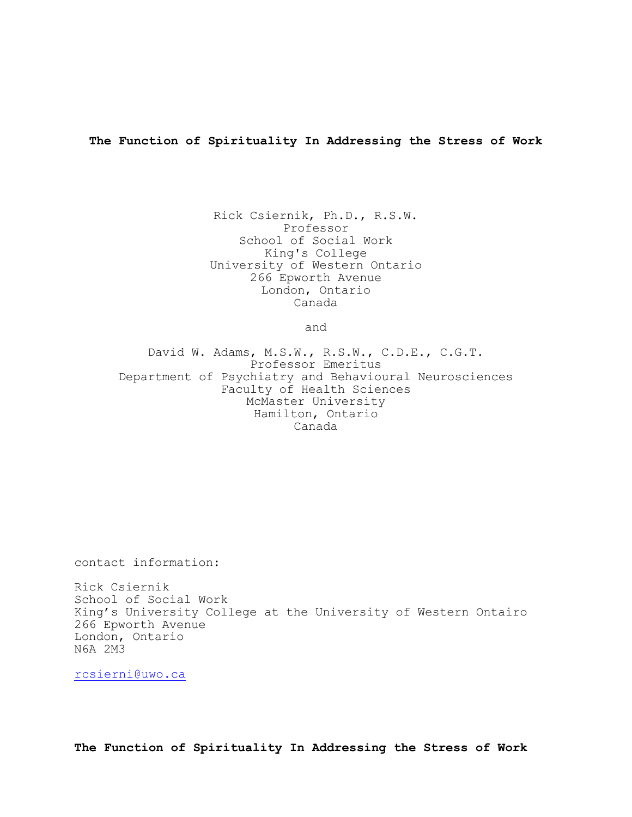**The Function of Spirituality In Addressing the Stress of Work**

Rick Csiernik, Ph.D., R.S.W. Professor School of Social Work King's College University of Western Ontario 266 Epworth Avenue London, Ontario Canada

and

David W. Adams, M.S.W., R.S.W., C.D.E., C.G.T. Professor Emeritus Department of Psychiatry and Behavioural Neurosciences Faculty of Health Sciences McMaster University Hamilton, Ontario Canada

contact information:

Rick Csiernik School of Social Work King's University College at the University of Western Ontairo 266 Epworth Avenue London, Ontario N6A 2M3

[rcsierni@uwo.ca](mailto:rcsierni@uwo.ca)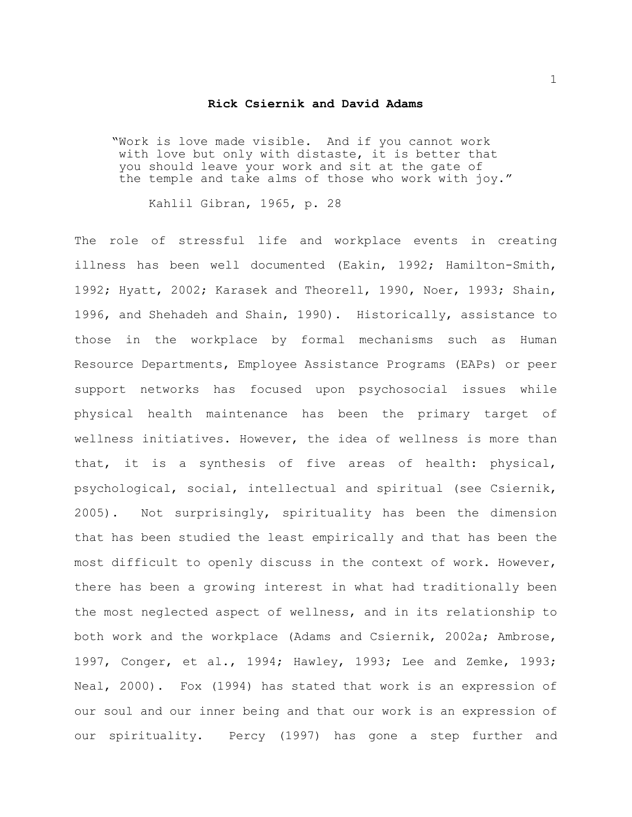## **Rick Csiernik and David Adams**

"Work is love made visible. And if you cannot work with love but only with distaste, it is better that you should leave your work and sit at the gate of the temple and take alms of those who work with joy."

Kahlil Gibran, 1965, p. 28

The role of stressful life and workplace events in creating illness has been well documented (Eakin, 1992; Hamilton-Smith, 1992; Hyatt, 2002; Karasek and Theorell, 1990, Noer, 1993; Shain, 1996, and Shehadeh and Shain, 1990). Historically, assistance to those in the workplace by formal mechanisms such as Human Resource Departments, Employee Assistance Programs (EAPs) or peer support networks has focused upon psychosocial issues while physical health maintenance has been the primary target of wellness initiatives. However, the idea of wellness is more than that, it is a synthesis of five areas of health: physical, psychological, social, intellectual and spiritual (see Csiernik, 2005). Not surprisingly, spirituality has been the dimension that has been studied the least empirically and that has been the most difficult to openly discuss in the context of work. However, there has been a growing interest in what had traditionally been the most neglected aspect of wellness, and in its relationship to both work and the workplace (Adams and Csiernik, 2002a; Ambrose, 1997, Conger, et al., 1994; Hawley, 1993; Lee and Zemke, 1993; Neal, 2000). Fox (1994) has stated that work is an expression of our soul and our inner being and that our work is an expression of our spirituality. Percy (1997) has gone a step further and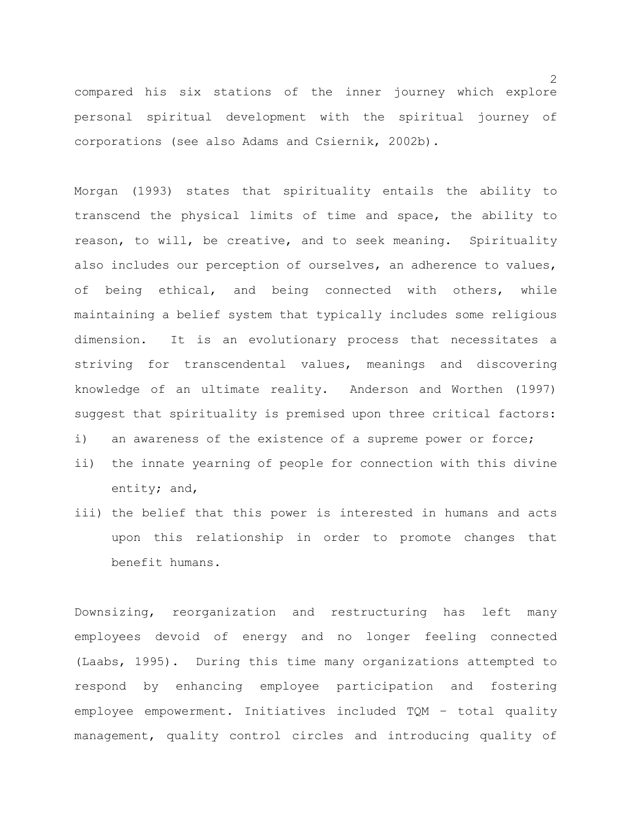compared his six stations of the inner journey which explore personal spiritual development with the spiritual journey of corporations (see also Adams and Csiernik, 2002b).

Morgan (1993) states that spirituality entails the ability to transcend the physical limits of time and space, the ability to reason, to will, be creative, and to seek meaning. Spirituality also includes our perception of ourselves, an adherence to values, of being ethical, and being connected with others, while maintaining a belief system that typically includes some religious dimension. It is an evolutionary process that necessitates a striving for transcendental values, meanings and discovering knowledge of an ultimate reality. Anderson and Worthen (1997) suggest that spirituality is premised upon three critical factors:

i) an awareness of the existence of a supreme power or force;

- ii) the innate yearning of people for connection with this divine entity; and,
- iii) the belief that this power is interested in humans and acts upon this relationship in order to promote changes that benefit humans.

Downsizing, reorganization and restructuring has left many employees devoid of energy and no longer feeling connected (Laabs, 1995). During this time many organizations attempted to respond by enhancing employee participation and fostering employee empowerment. Initiatives included TQM – total quality management, quality control circles and introducing quality of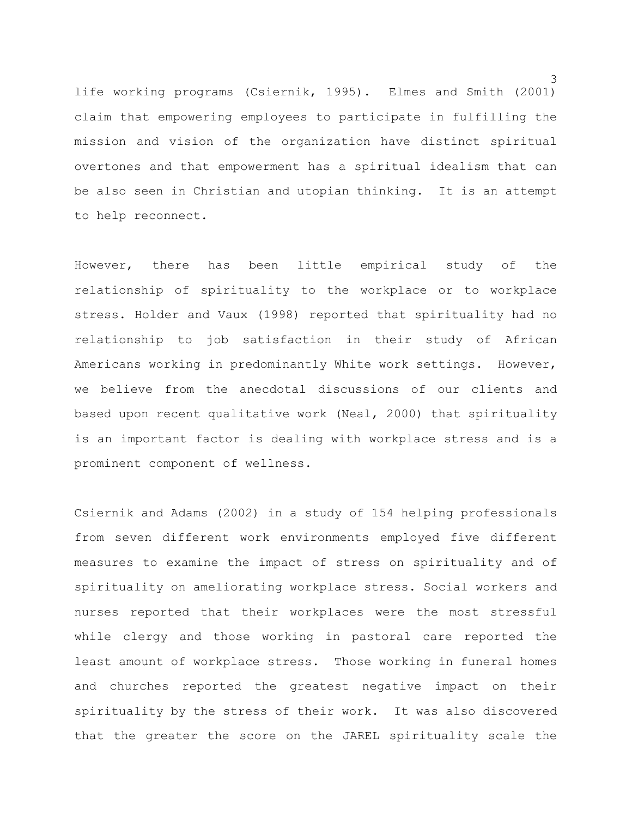life working programs (Csiernik, 1995). Elmes and Smith (2001) claim that empowering employees to participate in fulfilling the mission and vision of the organization have distinct spiritual overtones and that empowerment has a spiritual idealism that can be also seen in Christian and utopian thinking. It is an attempt to help reconnect.

However, there has been little empirical study of the relationship of spirituality to the workplace or to workplace stress. Holder and Vaux (1998) reported that spirituality had no relationship to job satisfaction in their study of African Americans working in predominantly White work settings. However, we believe from the anecdotal discussions of our clients and based upon recent qualitative work (Neal, 2000) that spirituality is an important factor is dealing with workplace stress and is a prominent component of wellness.

Csiernik and Adams (2002) in a study of 154 helping professionals from seven different work environments employed five different measures to examine the impact of stress on spirituality and of spirituality on ameliorating workplace stress. Social workers and nurses reported that their workplaces were the most stressful while clergy and those working in pastoral care reported the least amount of workplace stress. Those working in funeral homes and churches reported the greatest negative impact on their spirituality by the stress of their work. It was also discovered that the greater the score on the JAREL spirituality scale the

3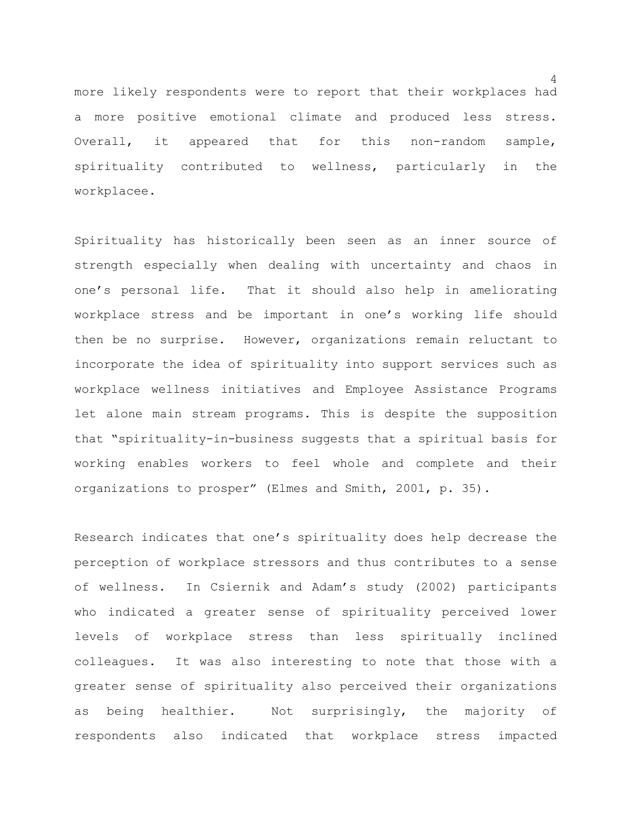more likely respondents were to report that their workplaces had a more positive emotional climate and produced less stress. Overall, it appeared that for this non-random sample, spirituality contributed to wellness, particularly in the workplacee.

Spirituality has historically been seen as an inner source of strength especially when dealing with uncertainty and chaos in one's personal life. That it should also help in ameliorating workplace stress and be important in one's working life should then be no surprise. However, organizations remain reluctant to incorporate the idea of spirituality into support services such as workplace wellness initiatives and Employee Assistance Programs let alone main stream programs. This is despite the supposition that "spirituality-in-business suggests that a spiritual basis for working enables workers to feel whole and complete and their organizations to prosper" (Elmes and Smith, 2001, p. 35).

Research indicates that one's spirituality does help decrease the perception of workplace stressors and thus contributes to a sense of wellness. In Csiernik and Adam's study (2002) participants who indicated a greater sense of spirituality perceived lower levels of workplace stress than less spiritually inclined colleagues. It was also interesting to note that those with a greater sense of spirituality also perceived their organizations as being healthier. Not surprisingly, the majority of respondents also indicated that workplace stress impacted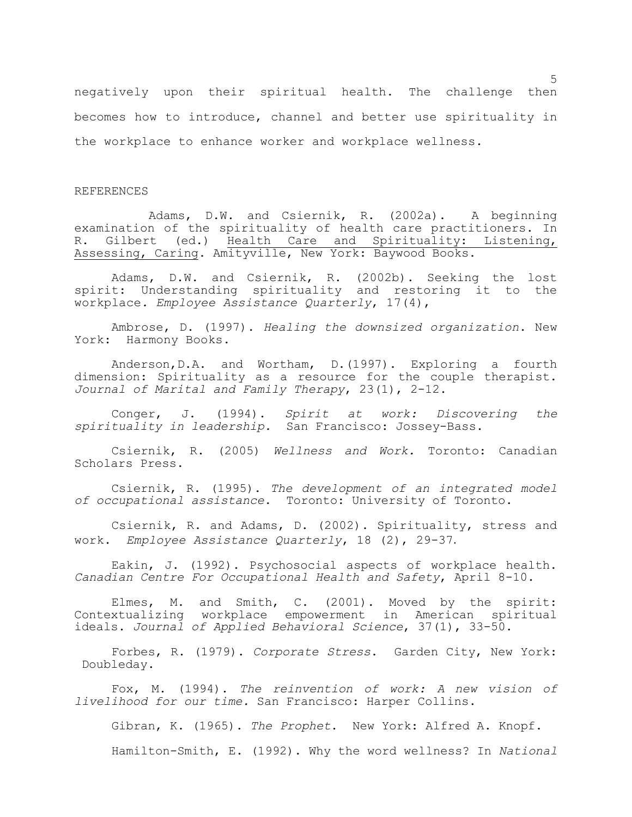negatively upon their spiritual health. The challenge then becomes how to introduce, channel and better use spirituality in the workplace to enhance worker and workplace wellness.

## REFERENCES

Adams, D.W. and Csiernik, R. (2002a). A beginning examination of the spirituality of health care practitioners. In R. Gilbert (ed.) Health Care and Spirituality: Listening, Assessing, Caring. Amityville, New York: Baywood Books.

Adams, D.W. and Csiernik, R. (2002b). Seeking the lost spirit: Understanding spirituality and restoring it to the workplace*. Employee Assistance Quarterly*, 17(4),

Ambrose, D. (1997). *Healing the downsized organization*. New York: Harmony Books.

Anderson,D.A. and Wortham, D.(1997). Exploring a fourth dimension: Spirituality as a resource for the couple therapist. *Journal of Marital and Family Therapy*, 23(1), 2-12.

Conger, J. (1994). *Spirit at work: Discovering the spirituality in leadership.* San Francisco: Jossey-Bass.

Csiernik, R. (2005) *Wellness and Work.* Toronto: Canadian Scholars Press.

Csiernik, R. (1995). *The development of an integrated model of occupational assistance*. Toronto: University of Toronto.

Csiernik, R. and Adams, D. (2002). Spirituality, stress and work. *Employee Assistance Quarterly*, 18 (2), 29-37.

Eakin, J. (1992). Psychosocial aspects of workplace health. *Canadian Centre For Occupational Health and Safety*, April 8-10.

Elmes, M. and Smith, C. (2001). Moved by the spirit: Contextualizing workplace empowerment in American spiritual ideals. *Journal of Applied Behavioral Science*, 37(1), 33-50.

Forbes, R. (1979). *Corporate Stress*. Garden City, New York: Doubleday.

Fox, M. (1994). *The reinvention of work: A new vision of livelihood for our time.* San Francisco: Harper Collins.

Gibran, K. (1965). *The Prophet*. New York: Alfred A. Knopf.

Hamilton-Smith, E. (1992). Why the word wellness? In *National*